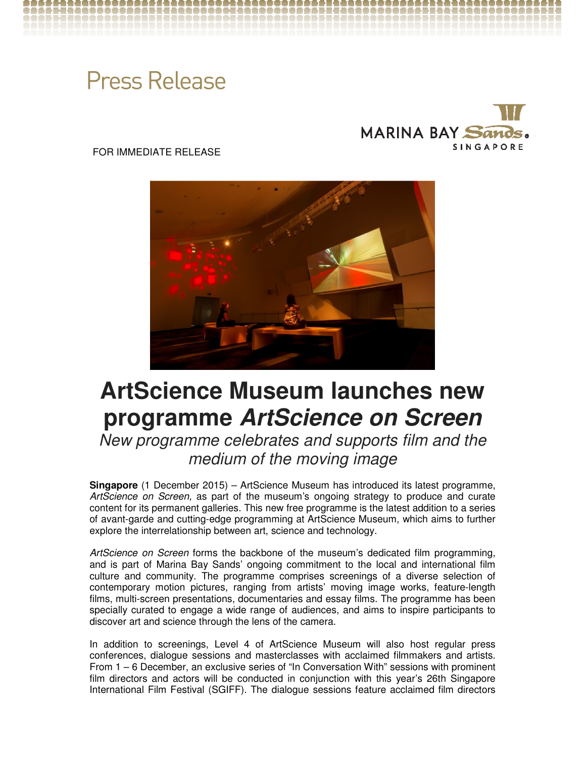# **Press Release**



FOR IMMEDIATE RELEASE



## **ArtScience Museum launches new programme ArtScience on Screen**

New programme celebrates and supports film and the medium of the moving image

**Singapore** (1 December 2015) – ArtScience Museum has introduced its latest programme, ArtScience on Screen, as part of the museum's ongoing strategy to produce and curate content for its permanent galleries. This new free programme is the latest addition to a series of avant-garde and cutting-edge programming at ArtScience Museum, which aims to further explore the interrelationship between art, science and technology.

ArtScience on Screen forms the backbone of the museum's dedicated film programming, and is part of Marina Bay Sands' ongoing commitment to the local and international film culture and community. The programme comprises screenings of a diverse selection of contemporary motion pictures, ranging from artists' moving image works, feature-length films, multi-screen presentations, documentaries and essay films. The programme has been specially curated to engage a wide range of audiences, and aims to inspire participants to discover art and science through the lens of the camera.

In addition to screenings, Level 4 of ArtScience Museum will also host regular press conferences, dialogue sessions and masterclasses with acclaimed filmmakers and artists. From 1 – 6 December, an exclusive series of "In Conversation With" sessions with prominent film directors and actors will be conducted in conjunction with this year's 26th Singapore International Film Festival (SGIFF). The dialogue sessions feature acclaimed film directors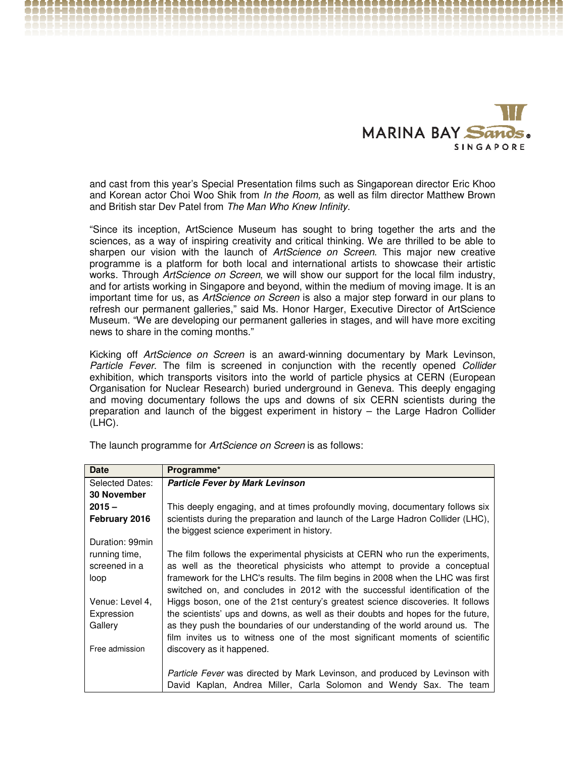

and cast from this year's Special Presentation films such as Singaporean director Eric Khoo and Korean actor Choi Woo Shik from In the Room, as well as film director Matthew Brown and British star Dev Patel from The Man Who Knew Infinity.

"Since its inception, ArtScience Museum has sought to bring together the arts and the sciences, as a way of inspiring creativity and critical thinking. We are thrilled to be able to sharpen our vision with the launch of ArtScience on Screen. This major new creative programme is a platform for both local and international artists to showcase their artistic works. Through ArtScience on Screen, we will show our support for the local film industry, and for artists working in Singapore and beyond, within the medium of moving image. It is an important time for us, as ArtScience on Screen is also a major step forward in our plans to refresh our permanent galleries," said Ms. Honor Harger, Executive Director of ArtScience Museum. "We are developing our permanent galleries in stages, and will have more exciting news to share in the coming months."

Kicking off *ArtScience on Screen* is an award-winning documentary by Mark Levinson, Particle Fever. The film is screened in conjunction with the recently opened Collider exhibition, which transports visitors into the world of particle physics at CERN (European Organisation for Nuclear Research) buried underground in Geneva. This deeply engaging and moving documentary follows the ups and downs of six CERN scientists during the preparation and launch of the biggest experiment in history – the Large Hadron Collider (LHC).

| <b>Date</b>        | Programme*                                                                                                                                                      |  |
|--------------------|-----------------------------------------------------------------------------------------------------------------------------------------------------------------|--|
| Selected Dates:    | <b>Particle Fever by Mark Levinson</b>                                                                                                                          |  |
| <b>30 November</b> |                                                                                                                                                                 |  |
| $2015 -$           | This deeply engaging, and at times profoundly moving, documentary follows six                                                                                   |  |
| February 2016      | scientists during the preparation and launch of the Large Hadron Collider (LHC),<br>the biggest science experiment in history.                                  |  |
| Duration: 99min    |                                                                                                                                                                 |  |
| running time,      | The film follows the experimental physicists at CERN who run the experiments,                                                                                   |  |
| screened in a      | as well as the theoretical physicists who attempt to provide a conceptual                                                                                       |  |
| loop               | framework for the LHC's results. The film begins in 2008 when the LHC was first<br>switched on, and concludes in 2012 with the successful identification of the |  |
| Venue: Level 4,    | Higgs boson, one of the 21st century's greatest science discoveries. It follows                                                                                 |  |
| Expression         | the scientists' ups and downs, as well as their doubts and hopes for the future,                                                                                |  |
| Gallery            | as they push the boundaries of our understanding of the world around us. The                                                                                    |  |
| Free admission     | film invites us to witness one of the most significant moments of scientific                                                                                    |  |
|                    | discovery as it happened.                                                                                                                                       |  |
|                    | Particle Fever was directed by Mark Levinson, and produced by Levinson with<br>David Kaplan, Andrea Miller, Carla Solomon and Wendy Sax. The team               |  |

The launch programme for ArtScience on Screen is as follows: